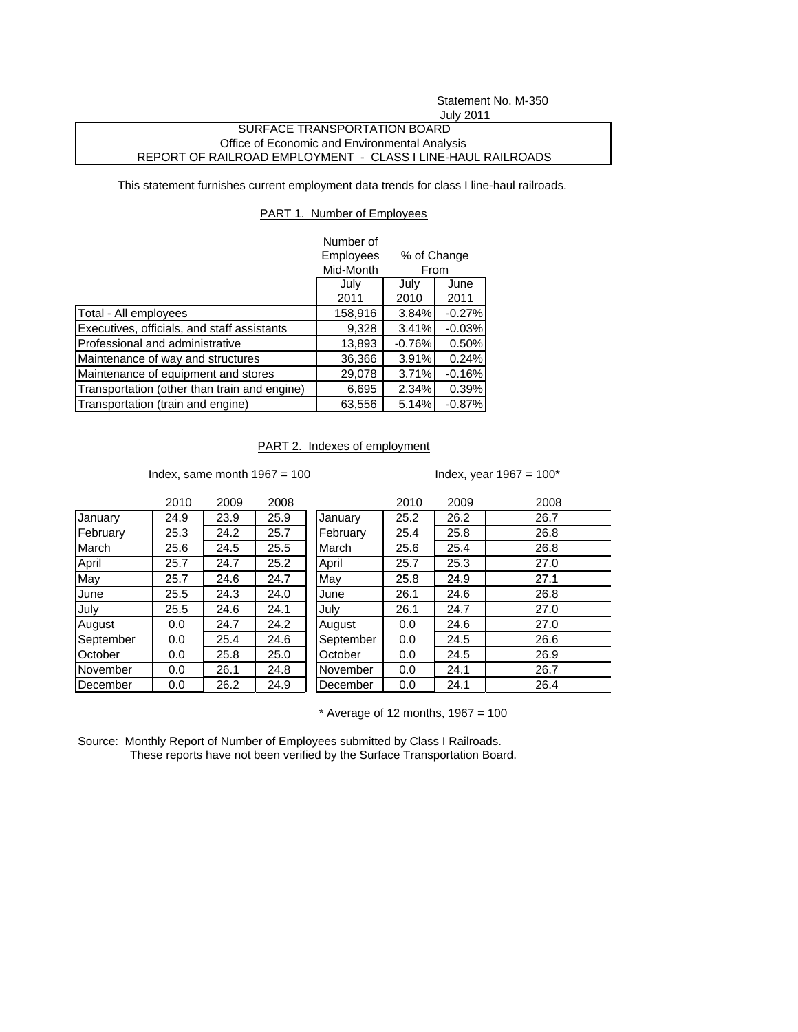# Statement No. M-350

### July 2011

### SURFACE TRANSPORTATION BOARD Office of Economic and Environmental Analysis REPORT OF RAILROAD EMPLOYMENT - CLASS I LINE-HAUL RAILROADS

This statement furnishes current employment data trends for class I line-haul railroads.

### PART 1. Number of Employees

|                                              | Number of |             |          |  |
|----------------------------------------------|-----------|-------------|----------|--|
|                                              | Employees | % of Change |          |  |
|                                              | Mid-Month | From        |          |  |
|                                              | July      | July        | June     |  |
|                                              | 2011      | 2010        | 2011     |  |
| Total - All employees                        | 158,916   | 3.84%       | $-0.27%$ |  |
| Executives, officials, and staff assistants  | 9,328     | 3.41%       | $-0.03%$ |  |
| Professional and administrative              | 13,893    | $-0.76%$    | 0.50%    |  |
| Maintenance of way and structures            | 36,366    | 3.91%       | 0.24%    |  |
| Maintenance of equipment and stores          | 29,078    | 3.71%       | $-0.16%$ |  |
| Transportation (other than train and engine) | 6,695     | 2.34%       | 0.39%    |  |
| Transportation (train and engine)            | 63,556    | 5.14%       | $-0.87%$ |  |

## PART 2. Indexes of employment

Index, same month  $1967 = 100$  Index, year  $1967 = 100^*$ 

|           | 2010 | 2009 | 2008 |           | 2010 | 2009 | 2008 |
|-----------|------|------|------|-----------|------|------|------|
| January   | 24.9 | 23.9 | 25.9 | January   | 25.2 | 26.2 | 26.7 |
| February  | 25.3 | 24.2 | 25.7 | February  | 25.4 | 25.8 | 26.8 |
| March     | 25.6 | 24.5 | 25.5 | March     | 25.6 | 25.4 | 26.8 |
| April     | 25.7 | 24.7 | 25.2 | April     | 25.7 | 25.3 | 27.0 |
| May       | 25.7 | 24.6 | 24.7 | May       | 25.8 | 24.9 | 27.1 |
| June      | 25.5 | 24.3 | 24.0 | June      | 26.1 | 24.6 | 26.8 |
| July      | 25.5 | 24.6 | 24.1 | July      | 26.1 | 24.7 | 27.0 |
| August    | 0.0  | 24.7 | 24.2 | August    | 0.0  | 24.6 | 27.0 |
| September | 0.0  | 25.4 | 24.6 | September | 0.0  | 24.5 | 26.6 |
| October   | 0.0  | 25.8 | 25.0 | October   | 0.0  | 24.5 | 26.9 |
| November  | 0.0  | 26.1 | 24.8 | November  | 0.0  | 24.1 | 26.7 |
| December  | 0.0  | 26.2 | 24.9 | December  | 0.0  | 24.1 | 26.4 |

 $*$  Average of 12 months, 1967 = 100

Source: Monthly Report of Number of Employees submitted by Class I Railroads. These reports have not been verified by the Surface Transportation Board.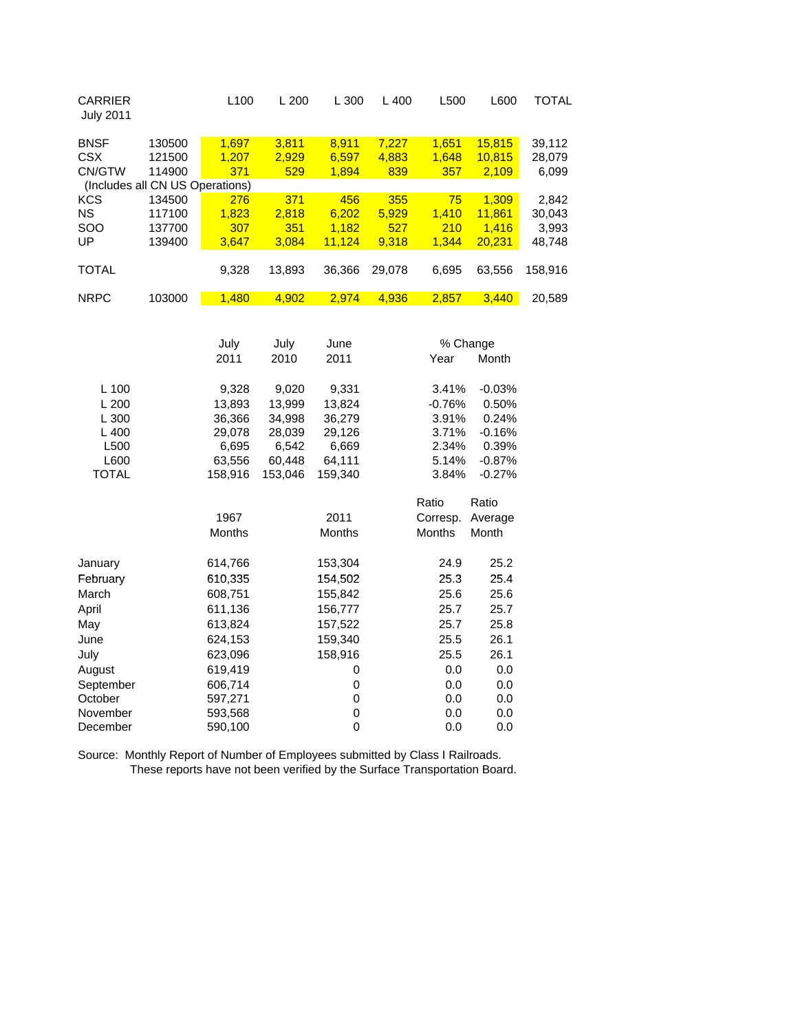| <b>CARRIER</b><br><b>July 2011</b>                             |                                                                         | L100                                                              | L200                                                              | L 300                                                             | L400                         | L500                                                           | L600                                                                    | <b>TOTAL</b>                       |
|----------------------------------------------------------------|-------------------------------------------------------------------------|-------------------------------------------------------------------|-------------------------------------------------------------------|-------------------------------------------------------------------|------------------------------|----------------------------------------------------------------|-------------------------------------------------------------------------|------------------------------------|
| <b>BNSF</b><br><b>CSX</b><br>CN/GTW                            | 130500<br>121500<br>114900                                              | 1,697<br>1,207<br>371                                             | 3,811<br>2,929<br>529                                             | 8,911<br>6,597<br>1,894                                           | 7,227<br>4,883<br>839        | 1,651<br>1,648<br>357                                          | 15,815<br>10,815<br>2,109                                               | 39,112<br>28,079<br>6,099          |
| <b>KCS</b><br><b>NS</b><br>SOO<br>UP                           | (Includes all CN US Operations)<br>134500<br>117100<br>137700<br>139400 | 276<br>1,823<br>307<br>3,647                                      | 371<br>2,818<br>351<br>3,084                                      | 456<br>6,202<br>1,182<br>11,124                                   | 355<br>5,929<br>527<br>9,318 | 75<br>1,410<br>210<br>1,344                                    | 1,309<br>11,861<br>1,416<br>20,231                                      | 2,842<br>30,043<br>3,993<br>48,748 |
| <b>TOTAL</b>                                                   |                                                                         | 9,328                                                             | 13,893                                                            | 36,366                                                            | 29,078                       | 6,695                                                          | 63,556                                                                  | 158,916                            |
| <b>NRPC</b>                                                    | 103000                                                                  | 1,480                                                             | 4,902                                                             | 2,974                                                             | 4,936                        | 2,857                                                          | 3,440                                                                   | 20,589                             |
|                                                                |                                                                         | July<br>2011                                                      | July<br>2010                                                      | June<br>2011                                                      |                              | Year                                                           | % Change<br>Month                                                       |                                    |
| L 100<br>L200<br>L 300<br>L400<br>L500<br>L600<br><b>TOTAL</b> |                                                                         | 9,328<br>13,893<br>36,366<br>29,078<br>6,695<br>63,556<br>158,916 | 9,020<br>13,999<br>34,998<br>28,039<br>6,542<br>60,448<br>153,046 | 9,331<br>13,824<br>36,279<br>29,126<br>6,669<br>64,111<br>159,340 |                              | 3.41%<br>$-0.76%$<br>3.91%<br>3.71%<br>2.34%<br>5.14%<br>3.84% | $-0.03%$<br>0.50%<br>0.24%<br>$-0.16%$<br>0.39%<br>$-0.87%$<br>$-0.27%$ |                                    |
|                                                                |                                                                         | 1967<br><b>Months</b>                                             |                                                                   | 2011<br><b>Months</b>                                             |                              | Ratio<br>Corresp.<br><b>Months</b>                             | Ratio<br>Average<br>Month                                               |                                    |

|           | <b>Months</b> | <b>Months</b> | Months | Month |
|-----------|---------------|---------------|--------|-------|
| January   | 614,766       | 153,304       | 24.9   | 25.2  |
| February  | 610,335       | 154,502       | 25.3   | 25.4  |
| March     | 608,751       | 155,842       | 25.6   | 25.6  |
| April     | 611,136       | 156,777       | 25.7   | 25.7  |
| May       | 613,824       | 157,522       | 25.7   | 25.8  |
| June      | 624,153       | 159,340       | 25.5   | 26.1  |
| July      | 623,096       | 158,916       | 25.5   | 26.1  |
| August    | 619,419       | 0             | 0.0    | 0.0   |
| September | 606,714       | 0             | 0.0    | 0.0   |
| October   | 597,271       | 0             | 0.0    | 0.0   |
| November  | 593,568       | 0             | 0.0    | 0.0   |
| December  | 590,100       | 0             | 0.0    | 0.0   |

Source: Monthly Report of Number of Employees submitted by Class I Railroads. These reports have not been verified by the Surface Transportation Board.